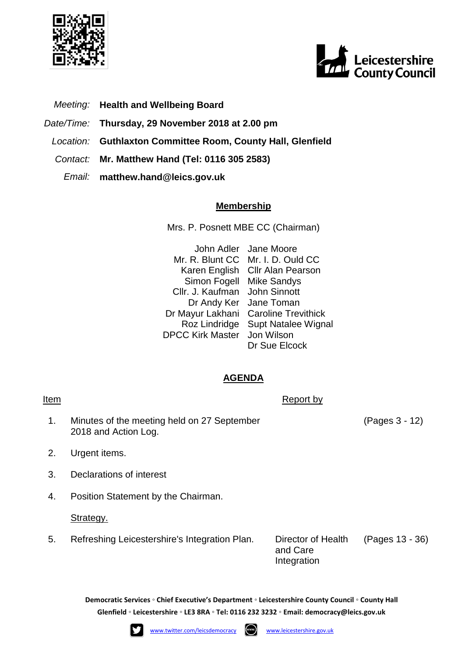



- *Meeting:* **Health and Wellbeing Board**
- *Date/Time:* **Thursday, 29 November 2018 at 2.00 pm**
- *Location:* **Guthlaxton Committee Room, County Hall, Glenfield**
- *Contact:* **Mr. Matthew Hand (Tel: 0116 305 2583)**
	- *Email:* **matthew.hand@leics.gov.uk**

## **Membership**

Mrs. P. Posnett MBE CC (Chairman)

John Adler Jane Moore Mr. R. Blunt CC Mr. I. D. Ould CC Karen English Cllr Alan Pearson Simon Fogell Mike Sandys Cllr. J. Kaufman John Sinnott Dr Andy Ker Jane Toman Dr Mayur Lakhani Caroline Trevithick Roz Lindridge Supt Natalee Wignal DPCC Kirk Master Jon Wilson Dr Sue Elcock

## **AGENDA**

Item Report by Report by Report by Report by Report by Report by Report by Report by Report by  $\mathbb{R}$ 1. Minutes of the meeting held on 27 September 2018 and Action Log. (Pages 3 - 12) 2. Urgent items. 3. Declarations of interest 4. Position Statement by the Chairman. Strategy.

5. Refreshing Leicestershire's Integration Plan. Director of Health

and Care Integration (Pages 13 - 36)

**Democratic Services ◦ Chief Executive's Department ◦ Leicestershire County Council ◦ County Hall Glenfield ◦ Leicestershire ◦ LE3 8RA ◦ Tel: 0116 232 3232 ◦ Email: [democracy@leics.gov.uk](mailto:democracy@leics.gov.uk)**